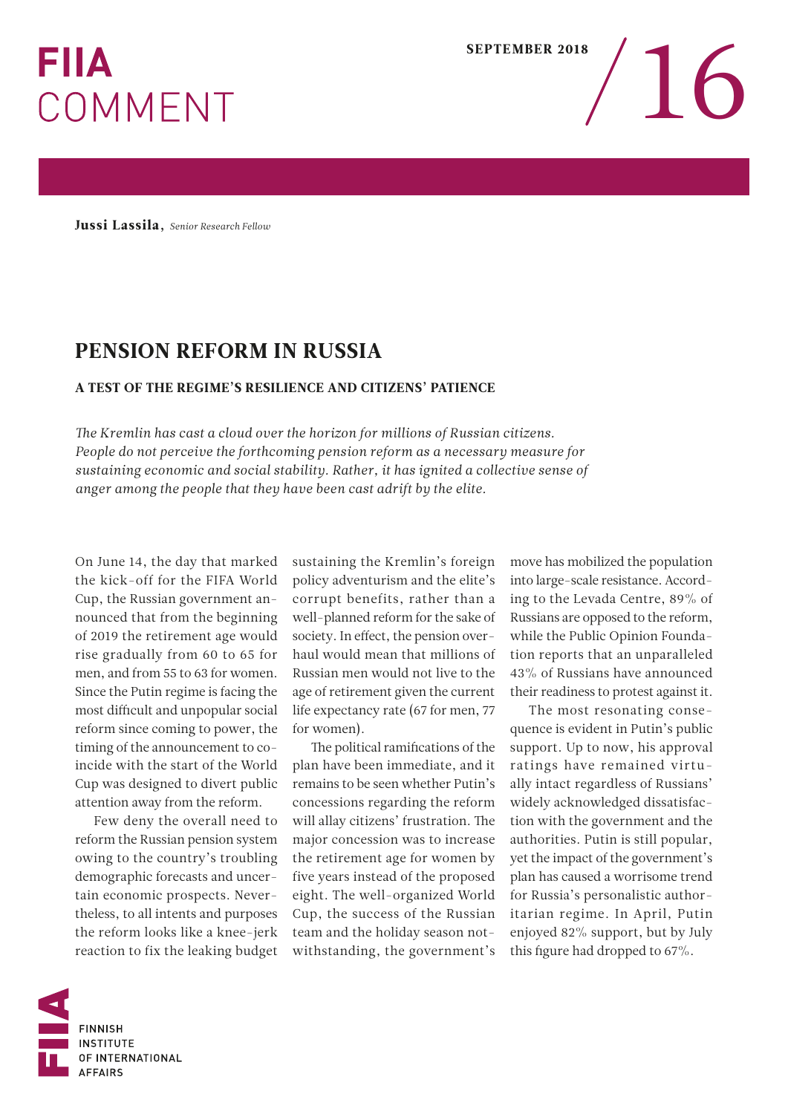## **FIIA** COMMENT

Jussi Lassila, *Senior Research Fellow*

## PENSION REFORM IN RUSSIA

## A TEST OF THE REGIME'S RESILIENCE AND CITIZENS' PATIENCE

*The Kremlin has cast a cloud over the horizon for millions of Russian citizens. People do not perceive the forthcoming pension reform as a necessary measure for sustaining economic and social stability. Rather, it has ignited a collective sense of anger among the people that they have been cast adrift by the elite.*

On June 14, the day that marked the kick-off for the FIFA World Cup, the Russian government announced that from the beginning of 2019 the retirement age would rise gradually from 60 to 65 for men, and from 55 to 63 for women. Since the Putin regime is facing the most difficult and unpopular social reform since coming to power, the timing of the announcement to coincide with the start of the World Cup was designed to divert public attention away from the reform.

Few deny the overall need to reform the Russian pension system owing to the country's troubling demographic forecasts and uncertain economic prospects. Nevertheless, to all intents and purposes the reform looks like a knee-jerk reaction to fix the leaking budget

sustaining the Kremlin's foreign policy adventurism and the elite's corrupt benefits, rather than a well-planned reform for the sake of society. In effect, the pension overhaul would mean that millions of Russian men would not live to the age of retirement given the current life expectancy rate (67 for men, 77 for women).

The political ramifications of the plan have been immediate, and it remains to be seen whether Putin's concessions regarding the reform will allay citizens' frustration. The major concession was to increase the retirement age for women by five years instead of the proposed eight. The well-organized World Cup, the success of the Russian team and the holiday season notwithstanding, the government's

move has mobilized the population into large-scale resistance. According to the Levada Centre, 89% of Russians are opposed to the reform, while the Public Opinion Foundation reports that an unparalleled 43% of Russians have announced their readiness to protest against it.

The most resonating consequence is evident in Putin's public support. Up to now, his approval ratings have remained virtually intact regardless of Russians' widely acknowledged dissatisfaction with the government and the authorities. Putin is still popular, yet the impact of the government's plan has caused a worrisome trend for Russia's personalistic authoritarian regime. In April, Putin enjoyed 82% support, but by July this figure had dropped to 67%.